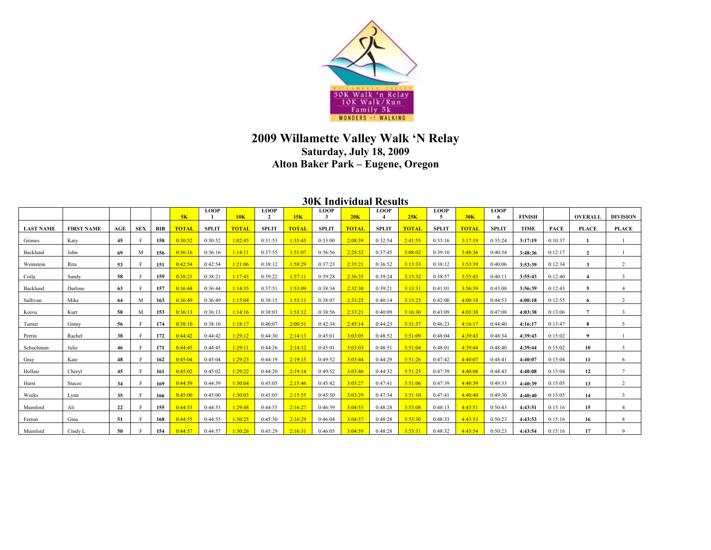

## **2009 Willamette Valley Walk 'N Relay Saturday, July 18, 2009 Alton Baker Park – Eugene, Oregon**

## **30K Individual Results**

|                  |                   |     |            |     | 5K           | <b>LOOP</b>  | 10K          | <b>LOOP</b>  | 15K          | <b>LOOP</b>  | 20K          | <b>LOOP</b>  | 25K          | <b>LOOP</b><br>5 | 30K          | <b>LOOP</b>  | <b>FINISH</b> |             | <b>OVERALL</b>   | <b>DIVISION</b>          |
|------------------|-------------------|-----|------------|-----|--------------|--------------|--------------|--------------|--------------|--------------|--------------|--------------|--------------|------------------|--------------|--------------|---------------|-------------|------------------|--------------------------|
| <b>LAST NAME</b> | <b>FIRST NAME</b> | AGE | <b>SEX</b> | BIB | <b>TOTAL</b> | <b>SPLIT</b> | <b>TOTAL</b> | <b>SPLIT</b> | <b>TOTAL</b> | <b>SPLIT</b> | <b>TOTAL</b> | <b>SPLIT</b> | <b>TOTAL</b> | <b>SPLIT</b>     | <b>TOTAL</b> | <b>SPLIT</b> | <b>TIME</b>   | <b>PACE</b> | <b>PLACE</b>     | <b>PLACE</b>             |
| Grimes           | Katy              | 45  |            | 158 | 0:30:52      | 0:30:52      | 1:02:45      | 0:31:53      | 1:35:45      | 0:33:00      | 2:08:39      | 0:32:54      | 2:41:55      | 0:33:16          | 3:17:19      | 0:35:24      | 3:17:19       | 0:10:37     |                  |                          |
| Backlund         | John              | 69  | M          | 156 | 0:36:16      | 0:36:16      | 1:14:11      | 0:37:55      | 1:51:07      | 0:36:56      | 2:28:52      | 0:37:45      | 3.08.02      | 0:39:10          | 3:48:36      | 0:40:34      | 3:48:36       | 0:12:17     | $\mathbf{Z}$     |                          |
| Weinstein        | Rita              | 53  |            | 151 | 0:42:54      | 0:42:54      | 1:21:06      | 0:38:12      | 1:58:29      | 0:37:23      | 2:35:21      | 0:36:52      | 3:13:33      | 0:38:12          | 3:53:39      | 0:40:06      | 3:53:39       | 0:12:34     |                  |                          |
| Coila            | Sandy             | 58  |            | 159 | 0:38:21      | 0:38:21      | 1:17:43      | 0:39:22      | 1:57:11      | 0:39:28      | 2:36:35      | 0:39:24      | 3:15:32      | 0:38:57          | 3:55:43      | 0:40:11      | 3:55:43       | 0:12:40     |                  | $\mathbf{R}$             |
| Backlund         | Darlene           | 63  |            | 157 | 0:36:44      | 0:36:44      | 1:14:35      | 0:37:51      | 1:53:09      | 0:38:34      | 2:32:30      | 0:39:21      | 3:13:31      | 0:41:01          | 3:56:39      | 0:43:08      | 3:56:39       | 0:12:43     | 5                |                          |
| Sullivan         | Mike              | 64  | M          | 163 | 0:36:49      | 0:36:49      | 1:15:04      | 0:38:15      | 1:53:11      | 0:38:07      | 2:33:25      | 0:40:14      | 3:15:25      | 0:42:00          | 4:00:18      | 0:44:53      | 4:00:18       | 0:12:55     | 6                | $\overline{2}$           |
| Koivu            | Kurt              | 58  | M          | 153 | 0:36:13      | 0:36:13      | 1:14:16      | 0:38:03      | 1:53:12      | 0:38:56      | 2:33:21      | 0:40:09      | 3:16:30      | 0:43:09          | 4:03:38      | 0:47:08      | 4:03:38       | 0:13:06     | $\overline{ }$   | $\mathbf{R}$             |
| Turner           | Ginny             | 56  |            | 174 | 0:38:10      | 0:38:10      | 1:18:17      | 0:40:07      | 2:00:51      | 0:42:34      | 2:45:14      | 0:44:23      | 3:31:37      | 0:46:23          | 4:16:17      | 0:44:40      | 4:16:17       | 0:13:47     | 8                | $\overline{\phantom{0}}$ |
| Perrin           | Rachel            | 38  |            | 172 | 0:44:42      | 0:44:42      | 1:29:12      | 0:44:30      | 2:14:13      | 0:45:01      | 3:03:05      | 0:48:52      | 3:51:09      | 0:48:04          | 4:39:43      | 0:48:34      | 4:39:43       | 0:15:02     | $\boldsymbol{q}$ |                          |
| Schuchman        | Julie             | 46  |            | 171 | $0.44 - 45$  | 0:44:45      | 1:29:11      | 0:44:26      | 2:14:12      | 0:45:01      | 3:03:03      | 0:48:51      | 3.51.04      | 0:48:01          | 4:39:44      | 0:48:40      | 4:39:44       | 0:15:02     | 10               | $\varsigma$              |
| Gray             | Kate              | 48  |            | 162 | 0:45:04      | 0:45:04      | 1:29:23      | 0:44:19      | 2:19:15      | 0:49:52      | 3:03:44      | 0:44:29      | 3:51:26      | 0:47:42          | 4:40:07      | 0:48:41      | 4:40:07       | 0:15:04     | 11               | 6                        |
| Hollatz          | Chervl            | 45  |            | 161 | 0:45:02      | 0:45:02      | 1:29:22      | 0:44:20      | 2:19:14      | 0:49:52      | 3:03:46      | 0:44:32      | 3:51:25      | 0:47:39          | 4:40:08      | 0:48:43      | 4:40:08       | 0:15:04     | 12               |                          |
| Hurst            | Stacee            | 34  |            | 169 | 0:44:59      | 0:44:59      | 1:30:04      | 0:45:05      | 2:15:46      | 0:45:42      | 3:03:27      | 0:47:41      | 3:51:06      | 0:47:39          | 4:40:39      | 0:49:33      | 4:40:39       | 0:15:05     | 13               | $\sim$                   |
| Weeks            | Lynn              | 35  |            | 166 | 0:45:00      | 0:45:00      | 1:30:05      | 0:45:05      | 2:15:55      | 0:45:50      | 3:03:29      | 0:47:34      | $3.51 - 10$  | 0:47:41          | 4:40:40      | 0:49:30      | 4:40:40       | 0:15:05     | 14               |                          |
| Mumford          | Ali               | 22  |            | 155 | 0:44:53      | 0:44:53      | 1:29:48      | 0:44:55      | 2:16:27      | 0:46:39      | 3:04:55      | 0:48:28      | 3:53:08      | 0:48:13          | 4:43:51      | 0:50:43      | 4:43:51       | 0:15:16     | 15               |                          |
| Ferron           | Gina              | 51  |            | 168 | 0:44:55      | 0:44:55      | 1:30:25      | 0:45:30      | 2:16:29      | 0:46:04      | 3:04:57      | 0:48:28      | 3:53:30      | 0:48:33          | 4:43:53      | 0:50:23      | 4:43:53       | 0:15:16     | 16               | 8                        |
| Mumford          | Cindy L           | 50  |            | 154 | 0:44:57      | 0:44:57      | 1:30:26      | 0:45:29      | 2:16:31      | 0:46:05      | 3:04:59      | 0:48:28      | 3:53:31      | 0:48:32          | 4:43:54      | 0:50:23      | 4:43:54       | 0:15:16     | 17               | $\Omega$                 |